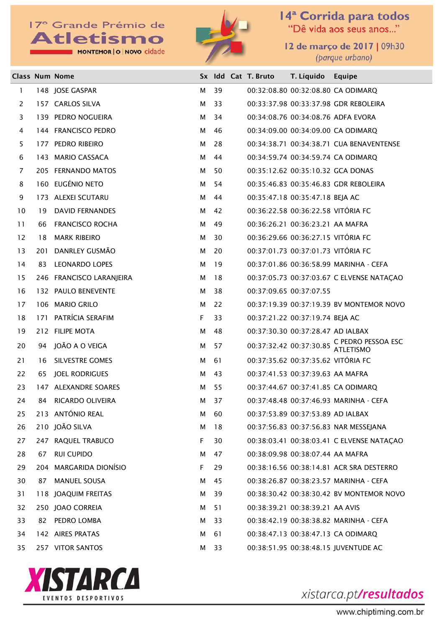MONTEMOR | O | NOVO cidade



14<sup>ª</sup> Corrida para todos<br>"Dê vida aos seus anos..."

12 de março de 2017 | 09h30 (parque urbano)

|                |     | <b>Class Num Nome</b>    |    |    | Sx Idd Cat T. Bruto | T. Líquido                         | Equipe                                     |
|----------------|-----|--------------------------|----|----|---------------------|------------------------------------|--------------------------------------------|
| 1              |     | 148 JOSE GASPAR          | м  | 39 |                     |                                    | 00:32:08.80 00:32:08.80 CA ODIMARQ         |
| 2              |     | 157 CARLOS SILVA         | м  | 33 |                     |                                    | 00:33:37.98 00:33:37.98 GDR REBOLEIRA      |
| 3              |     | 139 PEDRO NOGUEIRA       | м  | 34 |                     |                                    | 00:34:08.76 00:34:08.76 ADFA EVORA         |
| 4              |     | 144 FRANCISCO PEDRO      | м  | 46 |                     |                                    | 00:34:09.00 00:34:09.00 CA ODIMARQ         |
| 5.             |     | 177 PEDRO RIBEIRO        | м  | 28 |                     |                                    | 00:34:38.71 00:34:38.71 CUA BENAVENTENSE   |
| 6              |     | 143 MARIO CASSACA        | м  | 44 |                     |                                    | 00:34:59.74 00:34:59.74 CA ODIMARQ         |
| $\overline{7}$ |     | 205 FERNANDO MATOS       | м  | 50 |                     | 00:35:12.62 00:35:10.32 GCA DONAS  |                                            |
| 8              |     | 160 EUGÉNIO NETO         | м  | 54 |                     |                                    | 00:35:46.83 00:35:46.83 GDR REBOLEIRA      |
| 9              |     | 173 ALEXEI SCUTARU       | м  | 44 |                     | 00:35:47.18 00:35:47.18 BEJA AC    |                                            |
| 10             | 19  | <b>DAVID FERNANDES</b>   | м  | 42 |                     | 00:36:22.58 00:36:22.58 VITÓRIA FC |                                            |
| 11             | 66  | <b>FRANCISCO ROCHA</b>   | м  | 49 |                     | 00:36:26.21 00:36:23.21 AA MAFRA   |                                            |
| 12             | 18  | <b>MARK RIBEIRO</b>      | м  | 30 |                     | 00:36:29.66 00:36:27.15 VITÓRIA FC |                                            |
| 13             | 201 | DANRLEY GUSMÃO           | M  | 20 |                     | 00:37:01.73 00:37:01.73 VITÓRIA FC |                                            |
| 14             | 83  | LEONARDO LOPES           | м  | 19 |                     |                                    | 00:37:01.86 00:36:58.99 MARINHA - CEFA     |
| 15             |     | 246 FRANCISCO LARANJEIRA | м  | 18 |                     |                                    | 00:37:05.73 00:37:03.67 C ELVENSE NATAÇAO  |
| 16             |     | 132 PAULO BENEVENTE      | м  | 38 |                     | 00:37:09.65 00:37:07.55            |                                            |
| 17             |     | 106 MARIO GRILO          | м  | 22 |                     |                                    | 00:37:19.39 00:37:19.39 BV MONTEMOR NOVO   |
| 18             |     | 171 PATRÍCIA SERAFIM     | F. | 33 |                     | 00:37:21.22 00:37:19.74 BEJA AC    |                                            |
| 19             |     | 212 FILIPE MOTA          | м  | 48 |                     | 00:37:30.30 00:37:28.47 AD IALBAX  |                                            |
| 20             |     | 94 JOÃO A O VEIGA        | М  | 57 |                     |                                    | 00:37:32.42 00:37:30.85 C PEDRO PESSOA ESC |
| 21             | 16  | <b>SILVESTRE GOMES</b>   | м  | 61 |                     | 00:37:35.62 00:37:35.62 VITÓRIA FC |                                            |
| 22             | 65  | <b>JOEL RODRIGUES</b>    | м  | 43 |                     | 00:37:41.53 00:37:39.63 AA MAFRA   |                                            |
| 23             |     | 147 ALEXANDRE SOARES     | м  | 55 |                     |                                    | 00:37:44.67 00:37:41.85 CA ODIMARQ         |
| 24             | 84  | RICARDO OLIVEIRA         | м  | 37 |                     |                                    | 00:37:48.48 00:37:46.93 MARINHA - CEFA     |
| 25             |     | 213 ANTÓNIO REAL         | м  | 60 |                     | 00:37:53.89 00:37:53.89 AD IALBAX  |                                            |
| 26             |     | 210 JOÃO SILVA           | м  | 18 |                     |                                    | 00:37:56.83 00:37:56.83 NAR MESSEJANA      |
| 27             |     | 247 RAQUEL TRABUCO       | F. | 30 |                     |                                    | 00:38:03.41 00:38:03.41 C ELVENSE NATACAO  |
| 28             | 67  | <b>RUI CUPIDO</b>        | м  | 47 |                     | 00:38:09.98 00:38:07.44 AA MAFRA   |                                            |
| 29             |     | 204 MARGARIDA DIONÍSIO   | F. | 29 |                     |                                    | 00:38:16.56 00:38:14.81 ACR SRA DESTERRO   |
| 30             | 87  | MANUEL SOUSA             | м  | 45 |                     |                                    | 00:38:26.87 00:38:23.57 MARINHA - CEFA     |
| 31             |     | 118 JOAQUIM FREITAS      | м  | 39 |                     |                                    | 00:38:30.42 00:38:30.42 BV MONTEMOR NOVO   |
| 32             |     | 250 JOAO CORREIA         | м  | 51 |                     | 00:38:39.21 00:38:39.21 AA AVIS    |                                            |
| 33             | 82  | PEDRO LOMBA              | м  | 33 |                     |                                    | 00:38:42.19 00:38:38.82 MARINHA - CEFA     |
| 34             |     | 142 AIRES PRATAS         | м  | 61 |                     |                                    | 00:38:47.13 00:38:47.13 CA ODIMARQ         |
| 35             |     | 257 VITOR SANTOS         | м  | 33 |                     |                                    | 00:38:51.95 00:38:48.15 JUVENTUDE AC       |

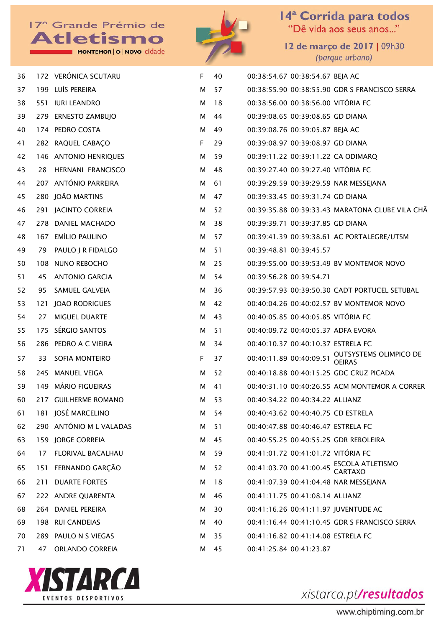MONTEMOR | O | NOVO cidade



14<sup>ª</sup> Corrida para todos<br>"Dê vida aos seus anos..."

12 de março de 2017 | 09h30 (parque urbano)

| 36 |     | 172 VERÓNICA SCUTARU    | F           | 40   | 00:38:54.67 00:38:54.67 BEJA AC    |                                                 |
|----|-----|-------------------------|-------------|------|------------------------------------|-------------------------------------------------|
| 37 |     | 199 LUÍS PEREIRA        | М           | 57   |                                    | 00:38:55.90 00:38:55.90 GDR S FRANCISCO SERRA   |
| 38 |     | 551 IURI LEANDRO        | М           | 18   | 00:38:56.00 00:38:56.00 VITÓRIA FC |                                                 |
| 39 |     | 279 ERNESTO ZAMBUJO     | М           | 44   | 00:39:08.65 00:39:08.65 GD DIANA   |                                                 |
| 40 |     | 174 PEDRO COSTA         | М           | 49   | 00:39:08.76 00:39:05.87 BEJA AC    |                                                 |
| 41 |     | 282 RAQUEL CABAÇO       | $\mathsf F$ | 29   | 00:39:08.97 00:39:08.97 GD DIANA   |                                                 |
| 42 |     | 146 ANTONIO HENRIQUES   | М           | 59   |                                    | 00:39:11.22 00:39:11.22 CA ODIMARQ              |
| 43 |     | 28 HERNANI FRANCISCO    | M           | 48   | 00:39:27.40 00:39:27.40 VITÓRIA FC |                                                 |
| 44 |     | 207 ANTÓNIO PARREIRA    | М           | 61   |                                    | 00:39:29.59 00:39:29.59 NAR MESSEJANA           |
| 45 |     | 280 JOÃO MARTINS        | М           | 47   | 00:39:33.45 00:39:31.74 GD DIANA   |                                                 |
| 46 |     | 291 JACINTO CORREIA     | М           | 52   |                                    | 00:39:35.88 00:39:33.43 MARATONA CLUBE VILA CHA |
| 47 |     | 278 DANIEL MACHADO      | М           | 38   | 00:39:39.71 00:39:37.85 GD DIANA   |                                                 |
| 48 |     | 167 EMÍLIO PAULINO      | М           | 57   |                                    | 00:39:41.39 00:39:38.61 AC PORTALEGRE/UTSM      |
| 49 |     | 79 PAULO J R FIDALGO    | М           | 51   | 00:39:48.81 00:39:45.57            |                                                 |
| 50 |     | 108 NUNO REBOCHO        | М           | 25   |                                    | 00:39:55.00 00:39:53.49 BV MONTEMOR NOVO        |
| 51 | 45  | ANTONIO GARCIA          | М           | 54   | 00:39:56.28 00:39:54.71            |                                                 |
| 52 | 95  | SAMUEL GALVEIA          | М           | 36   |                                    | 00:39:57.93 00:39:50.30 CADT PORTUCEL SETUBAL   |
| 53 | 121 | <b>JOAO RODRIGUES</b>   | М           | 42   |                                    | 00:40:04.26 00:40:02.57 BV MONTEMOR NOVO        |
| 54 | 27  | MIGUEL DUARTE           | М           | 43   | 00:40:05.85 00:40:05.85 VITÓRIA FC |                                                 |
| 55 |     | 175 SÉRGIO SANTOS       | М           | 51   |                                    | 00:40:09.72 00:40:05.37 ADFA EVORA              |
| 56 |     | 286 PEDRO A C VIEIRA    | М           | -34  | 00:40:10.37 00:40:10.37 ESTRELA FC |                                                 |
| 57 |     | 33 SOFIA MONTEIRO       | $\mathsf F$ | 37   | 00:40:11.89 00:40:09.51            | OUTSYSTEMS OLIMPICO DE<br><b>OEIRAS</b>         |
| 58 |     | 245 MANUEL VEIGA        | м           | 52   |                                    | 00:40:18.88 00:40:15.25 GDC CRUZ PICADA         |
| 59 |     | 149 MÁRIO FIGUEIRAS     | м           | 41   |                                    | 00:40:31.10 00:40:26.55 ACM MONTEMOR A CORRER   |
| 60 |     | 217 GUILHERME ROMANO    | м           | - 53 | 00:40:34.22 00:40:34.22 ALLIANZ    |                                                 |
| 61 |     | 181 JOSÉ MARCELINO      | м           | 54   | 00:40:43.62 00:40:40.75 CD ESTRELA |                                                 |
| 62 |     | 290 ANTÓNIO M L VALADAS | м           | 51   | 00:40:47.88 00:40:46.47 ESTRELA FC |                                                 |
| 63 |     | 159 JORGE CORREIA       | м           | 45   |                                    | 00:40:55.25 00:40:55.25 GDR REBOLEIRA           |
| 64 |     | 17 FLORIVAL BACALHAU    | м           | 59   | 00:41:01.72 00:41:01.72 VITÓRIA FC |                                                 |
| 65 |     | 151 FERNANDO GARÇÃO     | м           | 52   |                                    | 00:41:03.70 00:41:00.45 ESCOLA ATLETISMO        |
| 66 | 211 | <b>DUARTE FORTES</b>    | м           | 18   |                                    | 00:41:07.39 00:41:04.48 NAR MESSEJANA           |
| 67 |     | 222 ANDRE QUARENTA      | м           | 46   | 00:41:11.75 00:41:08.14 ALLIANZ    |                                                 |
| 68 |     | 264 DANIEL PEREIRA      | м           | 30   |                                    | 00:41:16.26 00:41:11.97 JUVENTUDE AC            |
| 69 |     | 198 RUI CANDEIAS        | м           | 40   |                                    | 00:41:16.44 00:41:10.45 GDR S FRANCISCO SERRA   |
| 70 |     | 289 PAULO N S VIEGAS    | м           | 35   | 00:41:16.82 00:41:14.08 ESTRELA FC |                                                 |
| 71 | 47  | ORLANDO CORREIA         | м           | 45   | 00:41:25.84 00:41:23.87            |                                                 |



xistarca.pt/resultados

www.chiptiming.com.br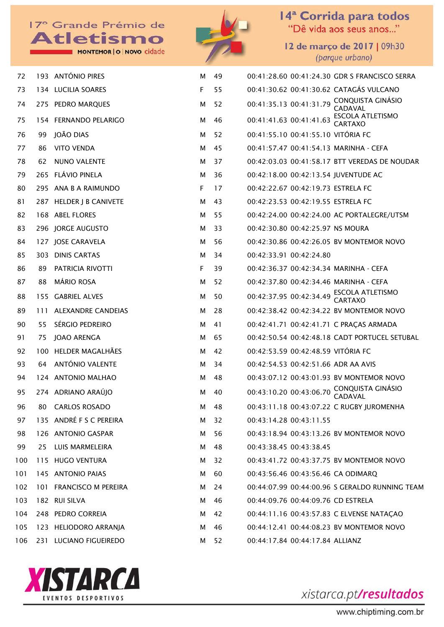



14<sup>ª</sup> Corrida para todos<br>"Dê vida aos seus anos..."

12 de março de 2017 | 09h30 (parque urbano)

| 72  |     | 193 ANTÓNIO PIRES         | M | 49 | 00:41:28.60 00:41:24.30 GDR S FRANCISCO SERRA                        |
|-----|-----|---------------------------|---|----|----------------------------------------------------------------------|
| 73  |     | 134 LUCILIA SOARES        | F | 55 | 00:41:30.62 00:41:30.62 CATAGÁS VULCANO                              |
| 74  |     | 275 PEDRO MARQUES         | м | 52 | 00:41:35.13 00:41:31.79 CONQUISTA GINÁSIO<br>CADAVAL                 |
| 75  |     | 154 FERNANDO PELARIGO     | М | 46 | <b>ESCOLA ATLETISMO</b><br>00:41:41.63 00:41:41.63<br><b>CARTAXO</b> |
| 76  | 99  | <b>JOÃO DIAS</b>          | M | 52 | 00:41:55.10 00:41:55.10 VITÓRIA FC                                   |
| 77  | 86  | <b>VITO VENDA</b>         | M | 45 | 00:41:57.47 00:41:54.13 MARINHA - CEFA                               |
| 78  | 62  | NUNO VALENTE              | M | 37 | 00:42:03.03 00:41:58.17 BTT VEREDAS DE NOUDAR                        |
| 79  |     | 265 FLÁVIO PINELA         | м | 36 | 00:42:18.00 00:42:13.54 JUVENTUDE AC                                 |
| 80  |     | 295 ANA B A RAIMUNDO      | F | 17 | 00:42:22.67 00:42:19.73 ESTRELA FC                                   |
| 81  |     | 287 HELDER J B CANIVETE   | M | 43 | 00:42:23.53 00:42:19.55 ESTRELA FC                                   |
| 82  |     | 168 ABEL FLORES           | M | 55 | 00:42:24.00 00:42:24.00 AC PORTALEGRE/UTSM                           |
| 83  |     | 296 JORGE AUGUSTO         | м | 33 | 00:42:30.80 00:42:25.97 NS MOURA                                     |
| 84  |     | 127 JOSE CARAVELA         | м | 56 | 00:42:30.86 00:42:26.05 BV MONTEMOR NOVO                             |
| 85  |     | 303 DINIS CARTAS          | м | 34 | 00:42:33.91 00:42:24.80                                              |
| 86  | 89  | PATRICIA RIVOTTI          | F | 39 | 00:42:36.37 00:42:34.34 MARINHA - CEFA                               |
| 87  | 88  | <b>MÁRIO ROSA</b>         | М | 52 | 00:42:37.80 00:42:34.46 MARINHA - CEFA                               |
| 88  |     | 155 GABRIEL ALVES         | м | 50 | ESCOLA ATLETISMO<br>CARTAXO<br>00:42:37.95 00:42:34.49               |
| 89  | 111 | <b>ALEXANDRE CANDEIAS</b> | м | 28 | 00:42:38.42 00:42:34.22 BV MONTEMOR NOVO                             |
| 90  | 55  | SÉRGIO PEDREIRO           | м | 41 | 00:42:41.71 00:42:41.71 C PRAÇAS ARMADA                              |
| 91  | 75  | <b>JOAO ARENGA</b>        | М | 65 | 00:42:50.54 00:42:48.18 CADT PORTUCEL SETUBAL                        |
| 92  |     | 100 HELDER MAGALHÃES      | м | 42 | 00:42:53.59 00:42:48.59 VITÓRIA FC                                   |
| 93  | 64  | ANTÓNIO VALENTE           | М | 34 | 00:42:54.53 00:42:51.66 ADR AA AVIS                                  |
| 94  |     | 124 ANTONIO MALHAO        | м | 48 | 00:43:07.12 00:43:01.93 BV MONTEMOR NOVO                             |
| 95  |     | 274 ADRIANO ARAÚJO        | M | 40 | 00:43:10.20 00:43:06.70 CONQUISTA GINÁSIO<br>CADAVAL                 |
| 96  |     | 80 CARLOS ROSADO          | М | 48 | 00:43:11.18 00:43:07.22 C RUGBY JUROMENHA                            |
| 97  |     | 135 ANDRÉ F S C PEREIRA   | м | 32 | 00:43:14.28 00:43:11.55                                              |
| 98  |     | 126 ANTONIO GASPAR        | м | 56 | 00:43:18.94 00:43:13.26 BV MONTEMOR NOVO                             |
| 99  |     | 25 LUIS MARMELEIRA        | м | 48 | 00:43:38.45 00:43:38.45                                              |
| 100 |     | 115 HUGO VENTURA          | М | 32 | 00:43:41.72 00:43:37.75 BV MONTEMOR NOVO                             |
| 101 |     | 145 ANTONIO PAIAS         | м | 60 | 00:43:56.46 00:43:56.46 CA ODIMARQ                                   |
| 102 |     | 101 FRANCISCO M PEREIRA   | м | 24 | 00:44:07.99 00:44:00.96 S GERALDO RUNNING TEAM                       |
| 103 |     | 182 RUI SILVA             | м | 46 | 00:44:09.76 00:44:09.76 CD ESTRELA                                   |
| 104 |     | 248 PEDRO CORREIA         | М | 42 | 00:44:11.16 00:43:57.83 C ELVENSE NATAÇAO                            |
| 105 |     | 123 HELIODORO ARRANJA     | м | 46 | 00:44:12.41 00:44:08.23 BV MONTEMOR NOVO                             |
| 106 |     | 231 LUCIANO FIGUEIREDO    | М | 52 | 00:44:17.84 00:44:17.84 ALLIANZ                                      |

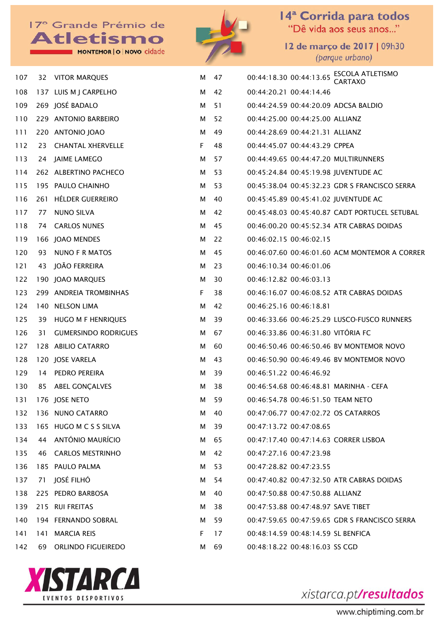MONTEMOR | O | NOVO cidade



14<sup>ª</sup> Corrida para todos<br>"Dê vida aos seus anos..."

12 de março de 2017 | 09h30 (parque urbano)

| 107 |      | 32 VITOR MARQUES            |    | M 47 | 00:44:18.30 00:44:13.65 ESCOLA ATLETISMO      |
|-----|------|-----------------------------|----|------|-----------------------------------------------|
| 108 |      | 137 LUIS M J CARPELHO       | М  | 42   | 00:44:20.21 00:44:14.46                       |
| 109 |      | 269 JOSÉ BADALO             | M  | 51   | 00:44:24.59 00:44:20.09 ADCSA BALDIO          |
| 110 |      | 229 ANTONIO BARBEIRO        | M  | 52   | 00:44:25.00 00:44:25.00 ALLIANZ               |
| 111 |      | 220 ANTONIO JOAO            | M  | 49   | 00:44:28.69 00:44:21.31 ALLIANZ               |
| 112 | 23   | <b>CHANTAL XHERVELLE</b>    | F  | 48   | 00:44:45.07 00:44:43.29 CPPEA                 |
| 113 |      | 24 JAIME LAMEGO             | M  | 57   | 00:44:49.65 00:44:47.20 MULTIRUNNERS          |
| 114 |      | 262 ALBERTINO PACHECO       | M  | -53  | 00:45:24.84 00:45:19.98 JUVENTUDE AC          |
| 115 |      | 195 PAULO CHAINHO           | M  | 53   | 00:45:38.04 00:45:32.23 GDR S FRANCISCO SERRA |
| 116 |      | 261 HÉLDER GUERREIRO        | M  | 40   | 00:45:45.89 00:45:41.02 JUVENTUDE AC          |
| 117 | 77   | NUNO SILVA                  | M  | 42   | 00:45:48.03 00:45:40.87 CADT PORTUCEL SETUBAL |
| 118 | 74   | <b>CARLOS NUNES</b>         | M  | 45   | 00:46:00.20 00:45:52.34 ATR CABRAS DOIDAS     |
| 119 |      | 166 JOAO MENDES             | м  | 22   | 00:46:02.15 00:46:02.15                       |
| 120 | 93   | NUNO F R MATOS              | M  | 45   | 00:46:07.60 00:46:01.60 ACM MONTEMOR A CORRER |
| 121 | 43   | JOÃO FERREIRA               | М  | 23   | 00:46:10.34 00:46:01.06                       |
| 122 |      | 190 JOAO MARQUES            | M  | -30  | 00:46:12.82 00:46:03.13                       |
| 123 |      | 299 ANDREIA TROMBINHAS      | F  | 38   | 00:46:16.07 00:46:08.52 ATR CABRAS DOIDAS     |
| 124 |      | 140 NELSON LIMA             | M  | 42   | 00:46:25.16 00:46:18.81                       |
| 125 |      | 39 HUGO M F HENRIQUES       | М  | 39   | 00:46:33.66 00:46:25.29 LUSCO-FUSCO RUNNERS   |
| 126 | 31   | <b>GUMERSINDO RODRIGUES</b> | M  | 67   | 00:46:33.86 00:46:31.80 VITÓRIA FC            |
| 127 |      | 128 ABILIO CATARRO          | М  | 60   | 00:46:50.46 00:46:50.46 BV MONTEMOR NOVO      |
| 128 |      | 120 JOSE VARELA             | M  | 43   | 00:46:50.90 00:46:49.46 BV MONTEMOR NOVO      |
| 129 | 14   | PEDRO PEREIRA               | м  | 39   | 00:46:51.22 00:46:46.92                       |
| 130 |      | 85 ABEL GONÇALVES           | М  | 38   | 00:46:54.68 00:46:48.81 MARINHA - CEFA        |
| 131 |      | 176 JOSE NETO               | M  | 59   | 00:46:54.78 00:46:51.50 TEAM NETO             |
| 132 |      | 136 NUNO CATARRO            | M  | -40  | 00:47:06.77 00:47:02.72 OS CATARROS           |
| 133 |      | 165 HUGO M C S S SILVA      | м  | 39   | 00:47:13.72 00:47:08.65                       |
| 134 | 44   | ANTÓNIO MAURÍCIO            | M  | 65   | 00:47:17.40 00:47:14.63 CORRER LISBOA         |
| 135 | 46   | <b>CARLOS MESTRINHO</b>     | M  | 42   | 00:47:27.16 00:47:23.98                       |
| 136 |      | 185 PAULO PALMA             | M  | 53   | 00:47:28.82 00:47:23.55                       |
| 137 | 71   | JOSÉ FILHÓ                  | M  | 54   | 00:47:40.82 00:47:32.50 ATR CABRAS DOIDAS     |
| 138 |      | 225 PEDRO BARBOSA           | M  | 40   | 00:47:50.88 00:47:50.88 ALLIANZ               |
| 139 |      | 215 RUI FREITAS             | M  | 38   | 00:47:53.88 00:47:48.97 SAVE TIBET            |
| 140 |      | 194 FERNANDO SOBRAL         | M  | 59   | 00:47:59.65 00:47:59.65 GDR S FRANCISCO SERRA |
| 141 | 141  | <b>MARCIA REIS</b>          | F. | 17   | 00:48:14.59 00:48:14.59 SL BENFICA            |
| 142 | 69 - | ORLINDO FIGUEIREDO          |    | M 69 | 00:48:18.22 00:48:16.03 SS CGD                |

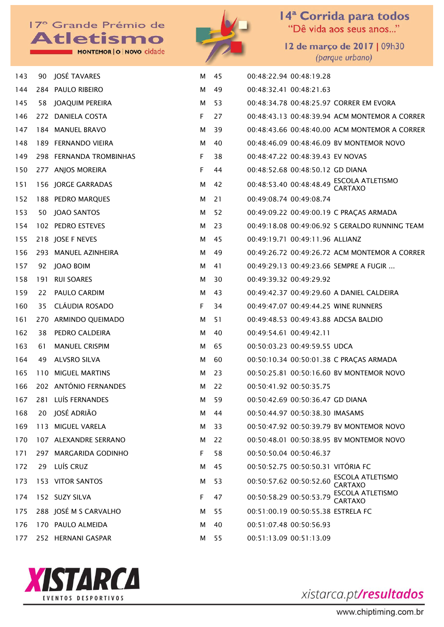MONTEMOR | O | NOVO cidade



14<sup>ª</sup> Corrida para todos<br>"Dê vida aos seus anos..."

12 de março de 2017 | 09h30 (parque urbano)

| 143 | 90  | JOSÉ TAVARES            | м  | 45  | 00:48:22.94 00:48:19.28                                       |
|-----|-----|-------------------------|----|-----|---------------------------------------------------------------|
| 144 |     | 284 PAULO RIBEIRO       | м  | 49  | 00:48:32.41 00:48:21.63                                       |
| 145 | 58  | JOAQUIM PEREIRA         | м  | 53  | 00:48:34.78 00:48:25.97 CORRER EM EVORA                       |
| 146 |     | 272 DANIELA COSTA       | F  | 27  | 00:48:43.13 00:48:39.94 ACM MONTEMOR A CORRER                 |
| 147 |     | 184 MANUEL BRAVO        | м  | 39  | 00:48:43.66 00:48:40.00 ACM MONTEMOR A CORRER                 |
| 148 |     | 189 FERNANDO VIEIRA     | м  | 40  | 00:48:46.09 00:48:46.09 BV MONTEMOR NOVO                      |
| 149 |     | 298 FERNANDA TROMBINHAS | F. | 38  | 00:48:47.22 00:48:39.43 EV NOVAS                              |
| 150 |     | 277 ANJOS MOREIRA       | F  | 44  | 00:48:52.68 00:48:50.12 GD DIANA                              |
| 151 |     | 156 JORGE GARRADAS      | м  | 42  | 00:48:53.40 00:48:48.49 ESCOLA ATLETISMO                      |
| 152 |     | 188 PEDRO MARQUES       | м  | 21  | 00:49:08.74 00:49:08.74                                       |
| 153 |     | 50 JOAO SANTOS          | м  | -52 | 00:49:09.22 00:49:00.19 C PRAÇAS ARMADA                       |
| 154 |     | 102 PEDRO ESTEVES       | м  | 23  | 00:49:18.08 00:49:06.92 S GERALDO RUNNING TEAM                |
| 155 |     | 218 JOSE F NEVES        | м  | 45  | 00:49:19.71 00:49:11.96 ALLIANZ                               |
| 156 |     | 293 MANUEL AZINHEIRA    | м  | 49  | 00:49:26.72 00:49:26.72 ACM MONTEMOR A CORRER                 |
| 157 |     | 92 JOAO BOIM            | м  | 41  | 00:49:29.13 00:49:23.66 SEMPRE A FUGIR                        |
| 158 | 191 | <b>RUI SOARES</b>       | м  | 30  | 00:49:39.32 00:49:29.92                                       |
| 159 | 22  | PAULO CARDIM            | м  | 43  | 00:49:42.37 00:49:29.60 A DANIEL CALDEIRA                     |
| 160 | 35  | CLÁUDIA ROSADO          | F. | 34  | 00:49:47.07 00:49:44.25 WINE RUNNERS                          |
| 161 |     | 270 ARMINDO QUEIMADO    | м  | 51  | 00:49:48.53 00:49:43.88 ADCSA BALDIO                          |
| 162 | 38  | PEDRO CALDEIRA          | м  | 40  | 00:49:54.61 00:49:42.11                                       |
| 163 | 61  | <b>MANUEL CRISPIM</b>   | м  | 65  | 00:50:03.23 00:49:59.55 UDCA                                  |
| 164 | 49. | <b>ALVSRO SILVA</b>     | м  | 60  | 00:50:10.34 00:50:01.38 C PRAÇAS ARMADA                       |
| 165 |     | 110 MIGUEL MARTINS      | м  | 23  | 00:50:25.81 00:50:16.60 BV MONTEMOR NOVO                      |
| 166 |     | 202 ANTÓNIO FERNANDES   | м  | 22  | 00:50:41.92 00:50:35.75                                       |
| 167 |     | 281 LUÍS FERNANDES      | м  | 59  | 00:50:42.69 00:50:36.47 GD DIANA                              |
| 168 |     | 20 JOSÉ ADRIÃO          | м  | 44  | 00:50:44.97 00:50:38.30 IMASAMS                               |
| 169 |     | 113 MIGUEL VARELA       | м  | 33  | 00:50:47.92 00:50:39.79 BV MONTEMOR NOVO                      |
| 170 |     | 107 ALEXANDRE SERRANO   | м  | 22  | 00:50:48.01 00:50:38.95 BV MONTEMOR NOVO                      |
| 171 |     | 297 MARGARIDA GODINHO   | F. | 58  | 00:50:50.04 00:50:46.37                                       |
| 172 |     | 29 LUÍS CRUZ            | м  | 45  | 00:50:52.75 00:50:50.31 VITÓRIA FC                            |
| 173 |     | 153 VITOR SANTOS        | м  | 53  | ESCOLA ATLETISMO<br>00:50:57.62 00:50:52.60<br><b>CARTAXO</b> |
| 174 |     | 152 SUZY SILVA          | F. | 47  | ESCOLA ATLETISMO<br>00:50:58.29 00:50:53.79<br><b>CARTAXO</b> |
| 175 |     | 288 JOSÉ M S CARVALHO   | м  | 55  | 00:51:00.19 00:50:55.38 ESTRELA FC                            |
| 176 |     | 170 PAULO ALMEIDA       | м  | 40  | 00:51:07.48 00:50:56.93                                       |
| 177 |     | 252 HERNANI GASPAR      | м  | 55  | 00:51:13.09 00:51:13.09                                       |

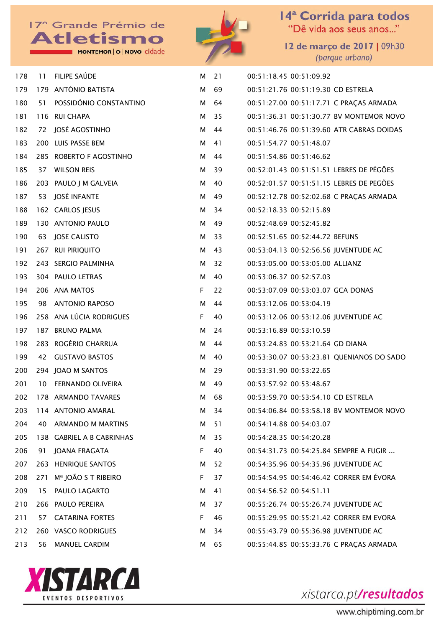MONTEMOR | O | NOVO cidade



14<sup>ª</sup> Corrida para todos<br>"Dê vida aos seus anos..."

12 de março de 2017 | 09h30 (parque urbano)

| 178 |     | 11 FILIPE SAÚDE           | м  | 21   | 00:51:18.45 00:51:09.92                   |
|-----|-----|---------------------------|----|------|-------------------------------------------|
| 179 |     | 179 ANTÓNIO BATISTA       | М  | 69   | 00:51:21.76 00:51:19.30 CD ESTRELA        |
| 180 | 51. | POSSIDÓNIO CONSTANTINO    |    | M 64 | 00:51:27.00 00:51:17.71 C PRAÇAS ARMADA   |
| 181 |     | 116 RUI CHAPA             | M  | 35   | 00:51:36.31 00:51:30.77 BV MONTEMOR NOVO  |
| 182 |     | 72 JOSÉ AGOSTINHO         |    | M 44 | 00:51:46.76 00:51:39.60 ATR CABRAS DOIDAS |
| 183 |     | 200 LUIS PASSE BEM        | М  | 41   | 00:51:54.77 00:51:48.07                   |
| 184 |     | 285 ROBERTO F AGOSTINHO   |    | M 44 | 00:51:54.86 00:51:46.62                   |
| 185 | 37  | <b>WILSON REIS</b>        | M  | 39   | 00:52:01.43 00:51:51.51 LEBRES DE PÉGÕES  |
| 186 |     | 203 PAULO J M GALVEIA     | М  | 40   | 00:52:01.57 00:51:51.15 LEBRES DE PEGÕES  |
| 187 | 53  | JOSÉ INFANTE              | М  | 49   | 00:52:12.78 00:52:02.68 C PRAÇAS ARMADA   |
| 188 |     | 162 CARLOS JESUS          | М  | - 34 | 00:52:18.33 00:52:15.89                   |
| 189 |     | 130 ANTONIO PAULO         | М  | 49   | 00:52:48.69 00:52:45.82                   |
| 190 |     | 63 JOSE CALISTO           | М  | 33   | 00:52:51.65 00:52:44.72 BEFUNS            |
| 191 |     | 267 RUI PIRIQUITO         | М  | 43   | 00:53:04.13 00:52:56.56 JUVENTUDE AC      |
| 192 |     | 243 SERGIO PALMINHA       | М  | 32   | 00:53:05.00 00:53:05.00 ALLIANZ           |
| 193 |     | 304 PAULO LETRAS          | М  | 40   | 00:53:06.37 00:52:57.03                   |
| 194 |     | 206 ANA MATOS             | F. | 22   | 00:53:07.09 00:53:03.07 GCA DONAS         |
| 195 | 98  | <b>ANTONIO RAPOSO</b>     | M  | 44   | 00:53:12.06 00:53:04.19                   |
| 196 |     | 258 ANA LÚCIA RODRIGUES   | F. | 40   | 00:53:12.06 00:53:12.06 JUVENTUDE AC      |
| 197 |     | 187 BRUNO PALMA           | м  | 24   | 00:53:16.89 00:53:10.59                   |
| 198 |     | 283 ROGÉRIO CHARRUA       | М  | 44   | 00:53:24.83 00:53:21.64 GD DIANA          |
| 199 | 42  | <b>GUSTAVO BASTOS</b>     | М  | 40   | 00:53:30.07 00:53:23.81 QUENIANOS DO SADO |
| 200 |     | 294 JOAO M SANTOS         | М  | 29   | 00:53:31.90 00:53:22.65                   |
| 201 | 10  | FERNANDO OLIVEIRA         | м  | 49   | 00:53:57.92 00:53:48.67                   |
| 202 |     | 178 ARMANDO TAVARES       | м  | 68   | 00:53:59.70 00:53:54.10 CD ESTRELA        |
| 203 |     | 114 ANTONIO AMARAL        | м  | 34   | 00:54:06.84 00:53:58.18 BV MONTEMOR NOVO  |
| 204 | 40  | <b>ARMANDO M MARTINS</b>  | М  | 51   | 00:54:14.88 00:54:03.07                   |
| 205 |     | 138 GABRIEL A B CABRINHAS | м  | 35   | 00:54:28.35 00:54:20.28                   |
| 206 | 91  | JOANA FRAGATA             | F  | 40   | 00:54:31.73 00:54:25.84 SEMPRE A FUGIR    |
| 207 |     | 263 HENRIQUE SANTOS       | м  | 52   | 00:54:35.96 00:54:35.96 JUVENTUDE AC      |
| 208 | 271 | Mª JOÃO S T RIBEIRO       | F  | 37   | 00:54:54.95 00:54:46.42 CORRER EM ÉVORA   |
| 209 | 15  | PAULO LAGARTO             | м  | 41   | 00:54:56.52 00:54:51.11                   |
| 210 |     | 266 PAULO PEREIRA         | м  | 37   | 00:55:26.74 00:55:26.74 JUVENTUDE AC      |
| 211 | 57  | <b>CATARINA FORTES</b>    | F  | 46   | 00:55:29.95 00:55:21.42 CORRER EM EVORA   |
| 212 |     | 260 VASCO RODRIGUES       | м  | 34   | 00:55:43.79 00:55:36.98 JUVENTUDE AC      |
| 213 | 56  | <b>MANUEL CARDIM</b>      | м  | 65   | 00:55:44.85 00:55:33.76 C PRAÇAS ARMADA   |

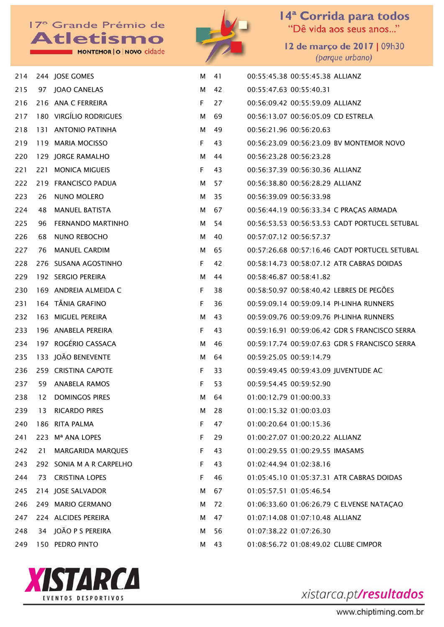MONTEMOR | O | NOVO cidade



14<sup>ª</sup> Corrida para todos<br>"Dê vida aos seus anos..."

12 de março de 2017 | 09h30 (parque urbano)

| 214 |     | 244 JOSE GOMES           | М | 41 | 00:55:45.38 00:55:45.38 ALLIANZ               |
|-----|-----|--------------------------|---|----|-----------------------------------------------|
| 215 |     | 97 JOAO CANELAS          | М | 42 | 00:55:47.63 00:55:40.31                       |
| 216 |     | 216 ANA C FERREIRA       | F | 27 | 00:56:09.42 00:55:59.09 ALLIANZ               |
| 217 |     | 180 VIRGÍLIO RODRIGUES   | м | 69 | 00:56:13.07 00:56:05.09 CD ESTRELA            |
| 218 |     | 131 ANTONIO PATINHA      | м | 49 | 00:56:21.96 00:56:20.63                       |
| 219 |     | 119 MARIA MOCISSO        | F | 43 | 00:56:23.09 00:56:23.09 BV MONTEMOR NOVO      |
| 220 |     | 129 JORGE RAMALHO        | м | 44 | 00:56:23.28 00:56:23.28                       |
| 221 |     | 221 MONICA MIGUEIS       | F | 43 | 00:56:37.39 00:56:30.36 ALLIANZ               |
| 222 |     | 219 FRANCISCO PADUA      | м | 57 | 00:56:38.80 00:56:28.29 ALLIANZ               |
| 223 | 26  | NUNO MOLERO              | м | 35 | 00:56:39.09 00:56:33.98                       |
| 224 | 48  | <b>MANUEL BATISTA</b>    | м | 67 | 00:56:44.19 00:56:33.34 C PRAÇAS ARMADA       |
| 225 | 96  | <b>FERNANDO MARTINHO</b> | м | 54 | 00:56:53.53 00:56:53.53 CADT PORTUCEL SETUBAL |
| 226 | 68  | <b>NUNO REBOCHO</b>      | м | 40 | 00:57:07.12 00:56:57.37                       |
| 227 | 76  | <b>MANUEL CARDIM</b>     | м | 65 | 00:57:26.68 00:57:16.46 CADT PORTUCEL SETUBAL |
| 228 |     | 276 SUSANA AGOSTINHO     | F | 42 | 00:58:14.73 00:58:07.12 ATR CABRAS DOIDAS     |
| 229 |     | 192 SERGIO PEREIRA       | м | 44 | 00:58:46.87 00:58:41.82                       |
| 230 |     | 169 ANDREIA ALMEIDA C    | F | 38 | 00:58:50.97 00:58:40.42 LEBRES DE PEGÕES      |
| 231 |     | 164 TÂNIA GRAFINO        | F | 36 | 00:59:09.14 00:59:09.14 PI-LINHA RUNNERS      |
| 232 |     | 163 MIGUEL PEREIRA       | м | 43 | 00:59:09.76 00:59:09.76 PI-LINHA RUNNERS      |
| 233 |     | 196 ANABELA PEREIRA      | F | 43 | 00:59:16.91 00:59:06.42 GDR S FRANCISCO SERRA |
| 234 |     | 197 ROGÉRIO CASSACA      | м | 46 | 00:59:17.74 00:59:07.63 GDR S FRANCISCO SERRA |
| 235 |     | 133 JOÃO BENEVENTE       | М | 64 | 00:59:25.05 00:59:14.79                       |
| 236 |     | 259 CRISTINA CAPOTE      | F | 33 | 00:59:49.45 00:59:43.09 JUVENTUDE AC          |
| 237 | 59  | ANABELA RAMOS            | F | 53 | 00:59:54.45 00:59:52.90                       |
| 238 | 12  | <b>DOMINGOS PIRES</b>    | м | 64 | 01:00:12.79 01:00:00.33                       |
| 239 | 13  | <b>RICARDO PIRES</b>     | м | 28 | 01:00:15.32 01:00:03.03                       |
| 240 | 186 | <b>RITA PALMA</b>        | F | 47 | 01:00:20.64 01:00:15.36                       |
| 241 | 223 | Mª ANA LOPES             | F | 29 | 01:00:27.07 01:00:20.22 ALLIANZ               |
| 242 | 21  | <b>MARGARIDA MARQUES</b> | F | 43 | 01:00:29.55 01:00:29.55 IMASAMS               |
| 243 |     | 292 SONIA M A R CARPELHO | F | 43 | 01:02:44.94 01:02:38.16                       |
| 244 | 73  | <b>CRISTINA LOPES</b>    | F | 46 | 01:05:45.10 01:05:37.31 ATR CABRAS DOIDAS     |
| 245 |     | 214 JOSE SALVADOR        | М | 67 | 01:05:57.51 01:05:46.54                       |
| 246 |     | 249 MARIO GERMANO        | М | 72 | 01:06:33.60 01:06:26.79 C ELVENSE NATAÇAO     |
| 247 |     | 224 ALCIDES PEREIRA      | М | 47 | 01:07:14.08 01:07:10.48 ALLIANZ               |
| 248 | 34  | JOÃO P S PEREIRA         | М | 56 | 01:07:38.22 01:07:26.30                       |
| 249 |     | 150 PEDRO PINTO          | М | 43 | 01:08:56.72 01:08:49.02 CLUBE CIMPOR          |

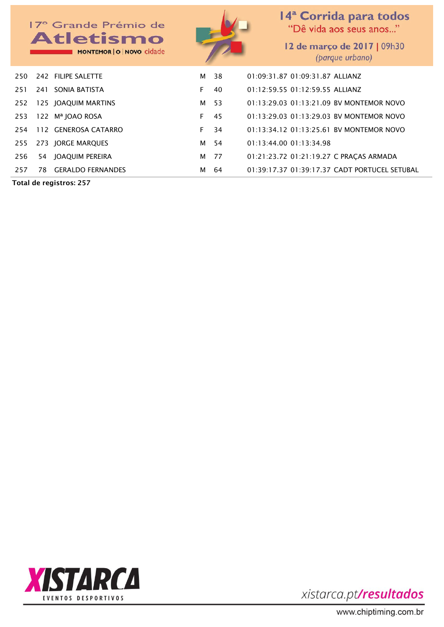

Total de registros: 257



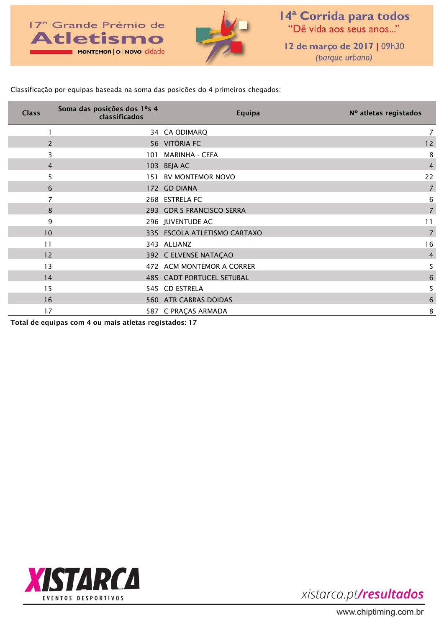

14<sup>ª</sup> Corrida para todos "Dê vida aos seus anos..."

12 de março de 2017 | 09h30 (parque urbano)

Classificação por equipas baseada na soma das posições do 4 primeiros chegados:

| <b>Class</b>   | Soma das posições dos 1°s 4<br>classificados | Equipa                           | Nº atletas registados |
|----------------|----------------------------------------------|----------------------------------|-----------------------|
|                |                                              | 34 CA ODIMARQ                    |                       |
| $\overline{z}$ |                                              | 56 VITÓRIA FC                    | 12                    |
| 3              |                                              | 101 MARINHA - CEFA               | 8                     |
| $\overline{4}$ |                                              | 103 BEJA AC                      | $\overline{4}$        |
| 5              |                                              | 151 BV MONTEMOR NOVO             | 22                    |
| 6              |                                              | 172 GD DIANA                     | $\overline{7}$        |
|                |                                              | 268 ESTRELA FC                   | 6                     |
| 8              |                                              | 293 GDR S FRANCISCO SERRA        | $\overline{7}$        |
| 9              |                                              | 296 JUVENTUDE AC                 | 11                    |
| 10             |                                              | 335 ESCOLA ATLETISMO CARTAXO     | 7                     |
| 11             |                                              | 343 ALLIANZ                      | 16                    |
| 12             |                                              | 392 C ELVENSE NATAÇÃO            | $\overline{4}$        |
| 13             |                                              | 472 ACM MONTEMOR A CORRER        | 5                     |
| 14             |                                              | <b>485 CADT PORTUCEL SETUBAL</b> | 6                     |
| 15             |                                              | 545 CD ESTRELA                   | 5                     |
| 16             |                                              | 560 ATR CABRAS DOIDAS            | 6                     |
| 17             |                                              | 587 C PRAÇAS ARMADA              | 8                     |

Total de equipas com 4 ou mais atletas registados: 17

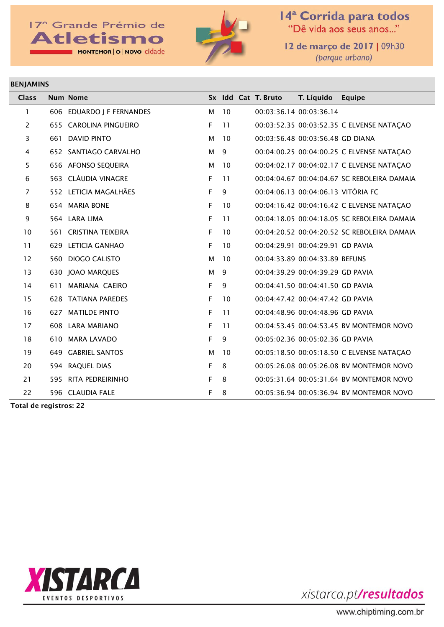### 17<sup>°</sup> Grande Prémio de **Atletismo** MONTEMOR | O | NOVO cidade



14<sup>ª</sup> Corrida para todos<br>"Dê vida aos seus anos..."

12 de março de 2017 | 09h30 (parque urbano)

#### BENJAMINS

| <b>Class</b>   | <b>Num Nome</b>           |             |    | Sx Idd Cat T. Bruto | T. Líquido                         | Equipe                                      |
|----------------|---------------------------|-------------|----|---------------------|------------------------------------|---------------------------------------------|
| $\mathbf{1}$   | 606 EDUARDO J F FERNANDES | м           | 10 |                     | 00:03:36.14 00:03:36.14            |                                             |
| $\overline{2}$ | 655 CAROLINA PINGUEIRO    | F           | 11 |                     |                                    | 00:03:52.35 00:03:52.35 C ELVENSE NATAÇAO   |
| 3              | 661 DAVID PINTO           | M           | 10 |                     | 00:03:56.48 00:03:56.48 GD DIANA   |                                             |
| 4              | 652 SANTIAGO CARVALHO     | М           | 9  |                     |                                    | 00:04:00.25 00:04:00.25 C ELVENSE NATAÇAO   |
| 5              | 656 AFONSO SEQUEIRA       | м           | 10 |                     |                                    | 00:04:02.17 00:04:02.17 C ELVENSE NATAÇAO   |
| 6              | 563 CLÁUDIA VINAGRE       | F.          | 11 |                     |                                    | 00:04:04.67 00:04:04.67 SC REBOLEIRA DAMAIA |
| $\overline{7}$ | 552 LETICIA MAGALHÃES     | $\mathsf F$ | 9  |                     | 00:04:06.13 00:04:06.13 VITÓRIA FC |                                             |
| 8              | 654 MARIA BONE            | F.          | 10 |                     |                                    | 00:04:16.42 00:04:16.42 C ELVENSE NATAÇÃO   |
| 9              | 564 LARA LIMA             | F           | 11 |                     |                                    | 00:04:18.05 00:04:18.05 SC REBOLEIRA DAMAIA |
| 10             | 561 CRISTINA TEIXEIRA     | F.          | 10 |                     |                                    | 00:04:20.52 00:04:20.52 SC REBOLEIRA DAMAIA |
| 11             | 629 LETICIA GANHAO        | F           | 10 |                     | 00:04:29.91 00:04:29.91 GD PAVIA   |                                             |
| 12             | 560 DIOGO CALISTO         | M           | 10 |                     | 00:04:33.89 00:04:33.89 BEFUNS     |                                             |
| 13             | 630 JOAO MARQUES          | M           | 9  |                     | 00:04:39.29 00:04:39.29 GD PAVIA   |                                             |
| 14             | 611 MARIANA CAEIRO        | $\mathsf F$ | 9  |                     | 00:04:41.50 00:04:41.50 GD PAVIA   |                                             |
| 15             | 628 TATIANA PAREDES       | F           | 10 |                     | 00:04:47.42 00:04:47.42 GD PAVIA   |                                             |
| 16             | 627 MATILDE PINTO         | F           | 11 |                     | 00:04:48.96 00:04:48.96 GD PAVIA   |                                             |
| 17             | 608 LARA MARIANO          | F           | 11 |                     |                                    | 00:04:53.45 00:04:53.45 BV MONTEMOR NOVO    |
| 18             | 610 MARA LAVADO           | F           | 9  |                     | 00:05:02.36 00:05:02.36 GD PAVIA   |                                             |
| 19             | 649 GABRIEL SANTOS        | м           | 10 |                     |                                    | 00:05:18.50 00:05:18.50 C ELVENSE NATAÇAO   |
| 20             | 594 RAQUEL DIAS           | F           | 8  |                     |                                    | 00:05:26.08 00:05:26.08 BV MONTEMOR NOVO    |
| 21             | 595 RITA PEDREIRINHO      | F           | 8  |                     |                                    | 00:05:31.64 00:05:31.64 BV MONTEMOR NOVO    |
| 22             | 596 CLAUDIA FALE          | F           | 8  |                     |                                    | 00:05:36.94 00:05:36.94 BV MONTEMOR NOVO    |

Total de registros: 22

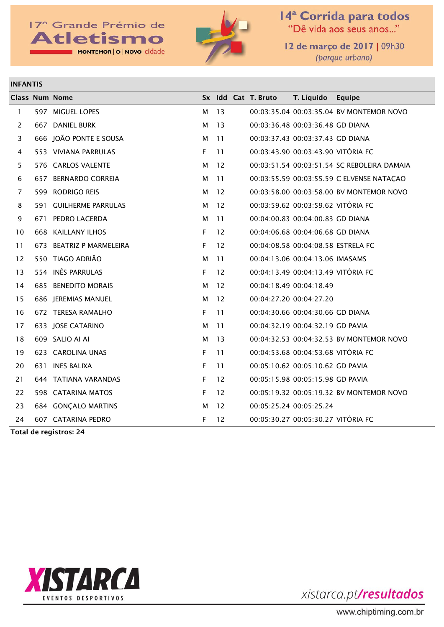### 17° Grande Prémio de **Atletismo** MONTEMOR | O | NOVO cidade



14<sup>ª</sup> Corrida para todos<br>"Dê vida aos seus anos..."

12 de março de 2017 | 09h30 (parque urbano)

#### INFANTIS

|                | <b>Class Num Nome</b>    |    |                 | Sx Idd Cat T. Bruto                | T. Líquido | Equipe                                      |
|----------------|--------------------------|----|-----------------|------------------------------------|------------|---------------------------------------------|
| $\mathbf{1}$   | 597 MIGUEL LOPES         | М  | 13              |                                    |            | 00:03:35.04 00:03:35.04 BV MONTEMOR NOVO    |
| 2              | 667 DANIEL BURK          | М  | 13              | 00:03:36.48 00:03:36.48 GD DIANA   |            |                                             |
| 3              | 666 JOÃO PONTE E SOUSA   | М  | 11              | 00:03:37.43 00:03:37.43 GD DIANA   |            |                                             |
| 4              | 553 VIVIANA PARRULAS     | F. | 11              | 00:03:43.90 00:03:43.90 VITÓRIA FC |            |                                             |
| 5              | 576 CARLOS VALENTE       | М  | 12              |                                    |            | 00:03:51.54 00:03:51.54 SC REBOLEIRA DAMAIA |
| 6              | 657 BERNARDO CORREIA     | М  | $\overline{11}$ |                                    |            | 00:03:55.59 00:03:55.59 C ELVENSE NATAÇAO   |
| $\overline{7}$ | 599 RODRIGO REIS         | М  | 12              |                                    |            | 00:03:58.00 00:03:58.00 BV MONTEMOR NOVO    |
| 8              | 591 GUILHERME PARRULAS   | М  | 12              | 00:03:59.62 00:03:59.62 VITÓRIA FC |            |                                             |
| 9              | 671 PEDRO LACERDA        | М  | 11              | 00:04:00.83 00:04:00.83 GD DIANA   |            |                                             |
| 10             | 668 KAILLANY ILHOS       | F. | 12              | 00:04:06.68 00:04:06.68 GD DIANA   |            |                                             |
| 11             | 673 BEATRIZ P MARMELEIRA | F  | 12              | 00:04:08.58 00:04:08.58 ESTRELA FC |            |                                             |
| 12             | 550 TIAGO ADRIÃO         | М  | 11              | 00:04:13.06 00:04:13.06 IMASAMS    |            |                                             |
| 13             | 554 INÊS PARRULAS        | F. | 12              | 00:04:13.49 00:04:13.49 VITÓRIA FC |            |                                             |
| 14             | 685 BENEDITO MORAIS      | М  | 12              | 00:04:18.49 00:04:18.49            |            |                                             |
| 15             | 686 JEREMIAS MANUEL      | М  | 12              | 00:04:27.20 00:04:27.20            |            |                                             |
| 16             | 672 TERESA RAMALHO       | F  | 11              | 00:04:30.66 00:04:30.66 GD DIANA   |            |                                             |
| 17             | 633 JOSE CATARINO        | М  | 11              | 00:04:32.19 00:04:32.19 GD PAVIA   |            |                                             |
| 18             | 609 SALIO AI AI          | М  | -13             |                                    |            | 00:04:32.53 00:04:32.53 BV MONTEMOR NOVO    |
| 19             | 623 CAROLINA UNAS        | F  | 11              | 00:04:53.68 00:04:53.68 VITÓRIA FC |            |                                             |
| 20             | 631 INES BALIXA          | F  | 11              | 00:05:10.62 00:05:10.62 GD PAVIA   |            |                                             |
| 21             | 644 TATIANA VARANDAS     | F  | 12              | 00:05:15.98 00:05:15.98 GD PAVIA   |            |                                             |
| 22             | 598 CATARINA MATOS       | F  | 12              |                                    |            | 00:05:19.32 00:05:19.32 BV MONTEMOR NOVO    |
| 23             | 684 GONÇALO MARTINS      | м  | 12              | 00:05:25.24 00:05:25.24            |            |                                             |
| 24             | 607 CATARINA PEDRO       | F  | 12              | 00:05:30.27 00:05:30.27 VITÓRIA FC |            |                                             |

Total de registros: 24

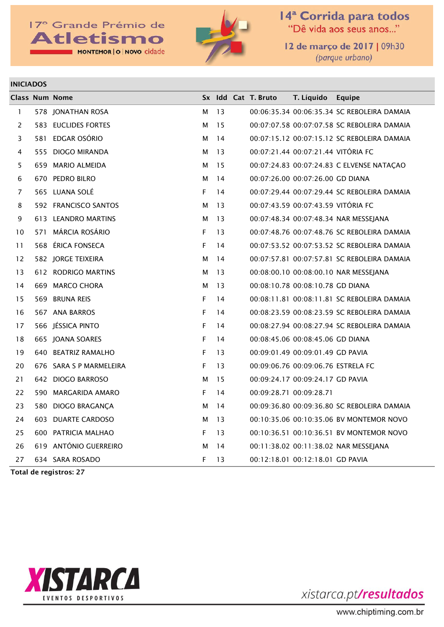### 17<sup>°</sup> Grande Prémio de **Atletismo** MONTEMOR | O | NOVO cidade



14<sup>ª</sup> Corrida para todos<br>"Dê vida aos seus anos..."

12 de março de 2017 | 09h30 (parque urbano)

#### INICIADOS

|              | <b>Class Num Nome</b>   |   |    | Sx Idd Cat T. Bruto | T. Líquido                         | Equipe                                      |
|--------------|-------------------------|---|----|---------------------|------------------------------------|---------------------------------------------|
| $\mathbf{1}$ | 578 JONATHAN ROSA       | м | 13 |                     |                                    | 00:06:35.34 00:06:35.34 SC REBOLEIRA DAMAIA |
| 2            | 583 EUCLIDES FORTES     | м | 15 |                     |                                    | 00:07:07.58 00:07:07.58 SC REBOLEIRA DAMAIA |
| 3            | 581 EDGAR OSÓRIO        | м | 14 |                     |                                    | 00:07:15.12 00:07:15.12 SC REBOLEIRA DAMAIA |
| 4            | 555 DIOGO MIRANDA       | м | 13 |                     | 00:07:21.44 00:07:21.44 VITÓRIA FC |                                             |
| 5            | 659 MARIO ALMEIDA       | м | 15 |                     |                                    | 00:07:24.83 00:07:24.83 C ELVENSE NATAÇAO   |
| 6            | 670 PEDRO BILRO         | м | 14 |                     | 00:07:26.00 00:07:26.00 GD DIANA   |                                             |
| 7            | 565 LUANA SOLÉ          | F | 14 |                     |                                    | 00:07:29.44 00:07:29.44 SC REBOLEIRA DAMAIA |
| 8            | 592 FRANCISCO SANTOS    | м | 13 |                     | 00:07:43.59 00:07:43.59 VITÓRIA FC |                                             |
| 9            | 613 LEANDRO MARTINS     | м | 13 |                     |                                    | 00:07:48.34 00:07:48.34 NAR MESSEJANA       |
| 10           | 571 MÁRCIA ROSÁRIO      | F | 13 |                     |                                    | 00:07:48.76 00:07:48.76 SC REBOLEIRA DAMAIA |
| 11           | 568 ÉRICA FONSECA       | F | 14 |                     |                                    | 00:07:53.52 00:07:53.52 SC REBOLEIRA DAMAIA |
| 12           | 582 JORGE TEIXEIRA      | м | 14 |                     |                                    | 00:07:57.81 00:07:57.81 SC REBOLEIRA DAMAIA |
| 13           | 612 RODRIGO MARTINS     | м | 13 |                     |                                    | 00:08:00.10 00:08:00.10 NAR MESSEJANA       |
| 14           | 669 MARCO CHORA         | м | 13 |                     | 00:08:10.78 00:08:10.78 GD DIANA   |                                             |
| 15           | 569 BRUNA REIS          | F | 14 |                     |                                    | 00:08:11.81 00:08:11.81 SC REBOLEIRA DAMAIA |
| 16           | 567 ANA BARROS          | F | 14 |                     |                                    | 00:08:23.59 00:08:23.59 SC REBOLEIRA DAMAIA |
| 17           | 566 JÉSSICA PINTO       | F | 14 |                     |                                    | 00:08:27.94 00:08:27.94 SC REBOLEIRA DAMAIA |
| 18           | 665 JOANA SOARES        | F | 14 |                     | 00:08:45.06 00:08:45.06 GD DIANA   |                                             |
| 19           | 640 BEATRIZ RAMALHO     | F | 13 |                     | 00:09:01.49 00:09:01.49 GD PAVIA   |                                             |
| 20           | 676 SARA S P MARMELEIRA | F | 13 |                     | 00:09:06.76 00:09:06.76 ESTRELA FC |                                             |
| 21           | 642 DIOGO BARROSO       | м | 15 |                     | 00:09:24.17 00:09:24.17 GD PAVIA   |                                             |
| 22           | 590 MARGARIDA AMARO     | F | 14 |                     | 00:09:28.71 00:09:28.71            |                                             |
| 23           | 580 DIOGO BRAGANÇA      | м | 14 |                     |                                    | 00:09:36.80 00:09:36.80 SC REBOLEIRA DAMAIA |
| 24           | 603 DUARTE CARDOSO      | м | 13 |                     |                                    | 00:10:35.06 00:10:35.06 BV MONTEMOR NOVO    |
| 25           | 600 PATRICIA MALHAO     | F | 13 |                     |                                    | 00:10:36.51 00:10:36.51 BV MONTEMOR NOVO    |
| 26           | 619 ANTÓNIO GUERREIRO   | м | 14 |                     |                                    | 00:11:38.02 00:11:38.02 NAR MESSEJANA       |
| 27           | 634 SARA ROSADO         | F | 13 |                     | 00:12:18.01 00:12:18.01 GD PAVIA   |                                             |

Total de registros: 27